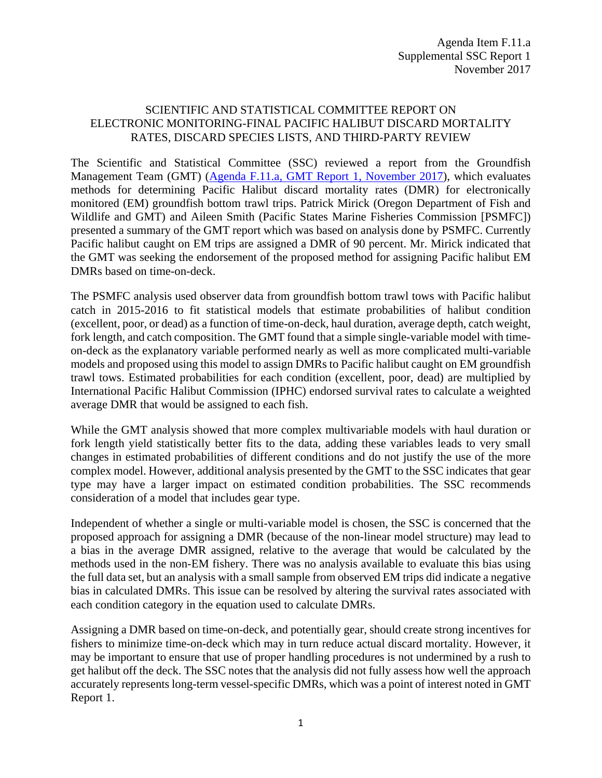## SCIENTIFIC AND STATISTICAL COMMITTEE REPORT ON ELECTRONIC MONITORING-FINAL PACIFIC HALIBUT DISCARD MORTALITY RATES, DISCARD SPECIES LISTS, AND THIRD-PARTY REVIEW

The Scientific and Statistical Committee (SSC) reviewed a report from the Groundfish Management Team (GMT) (Agenda F.11.a, GMT [Report 1, November 2017\)](http://www.pcouncil.org/wp-content/uploads/2017/10/F11a_GMT_Rpt1_NOV2017BB.pdf), which evaluates methods for determining Pacific Halibut discard mortality rates (DMR) for electronically monitored (EM) groundfish bottom trawl trips. Patrick Mirick (Oregon Department of Fish and Wildlife and GMT) and Aileen Smith (Pacific States Marine Fisheries Commission [PSMFC]) presented a summary of the GMT report which was based on analysis done by PSMFC. Currently Pacific halibut caught on EM trips are assigned a DMR of 90 percent. Mr. Mirick indicated that the GMT was seeking the endorsement of the proposed method for assigning Pacific halibut EM DMRs based on time-on-deck.

The PSMFC analysis used observer data from groundfish bottom trawl tows with Pacific halibut catch in 2015-2016 to fit statistical models that estimate probabilities of halibut condition (excellent, poor, or dead) as a function of time-on-deck, haul duration, average depth, catch weight, fork length, and catch composition. The GMT found that a simple single-variable model with timeon-deck as the explanatory variable performed nearly as well as more complicated multi-variable models and proposed using this model to assign DMRs to Pacific halibut caught on EM groundfish trawl tows. Estimated probabilities for each condition (excellent, poor, dead) are multiplied by International Pacific Halibut Commission (IPHC) endorsed survival rates to calculate a weighted average DMR that would be assigned to each fish.

While the GMT analysis showed that more complex multivariable models with haul duration or fork length yield statistically better fits to the data, adding these variables leads to very small changes in estimated probabilities of different conditions and do not justify the use of the more complex model. However, additional analysis presented by the GMT to the SSC indicates that gear type may have a larger impact on estimated condition probabilities. The SSC recommends consideration of a model that includes gear type.

Independent of whether a single or multi-variable model is chosen, the SSC is concerned that the proposed approach for assigning a DMR (because of the non-linear model structure) may lead to a bias in the average DMR assigned, relative to the average that would be calculated by the methods used in the non-EM fishery. There was no analysis available to evaluate this bias using the full data set, but an analysis with a small sample from observed EM trips did indicate a negative bias in calculated DMRs. This issue can be resolved by altering the survival rates associated with each condition category in the equation used to calculate DMRs.

Assigning a DMR based on time-on-deck, and potentially gear, should create strong incentives for fishers to minimize time-on-deck which may in turn reduce actual discard mortality. However, it may be important to ensure that use of proper handling procedures is not undermined by a rush to get halibut off the deck. The SSC notes that the analysis did not fully assess how well the approach accurately represents long-term vessel-specific DMRs, which was a point of interest noted in GMT Report 1.